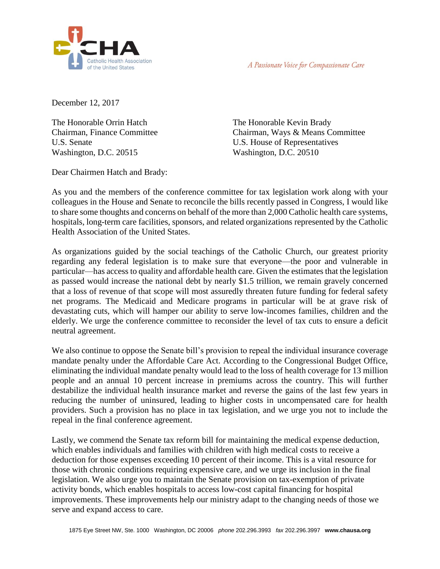

A Passionate Voice for Compassionate Care

December 12, 2017

The Honorable Orrin Hatch Chairman, Finance Committee U.S. Senate Washington, D.C. 20515

The Honorable Kevin Brady Chairman, Ways & Means Committee U.S. House of Representatives Washington, D.C. 20510

Dear Chairmen Hatch and Brady:

As you and the members of the conference committee for tax legislation work along with your colleagues in the House and Senate to reconcile the bills recently passed in Congress, I would like to share some thoughts and concerns on behalf of the more than 2,000 Catholic health care systems, hospitals, long-term care facilities, sponsors, and related organizations represented by the Catholic Health Association of the United States.

As organizations guided by the social teachings of the Catholic Church, our greatest priority regarding any federal legislation is to make sure that everyone—the poor and vulnerable in particular—has access to quality and affordable health care. Given the estimates that the legislation as passed would increase the national debt by nearly \$1.5 trillion, we remain gravely concerned that a loss of revenue of that scope will most assuredly threaten future funding for federal safety net programs. The Medicaid and Medicare programs in particular will be at grave risk of devastating cuts, which will hamper our ability to serve low-incomes families, children and the elderly. We urge the conference committee to reconsider the level of tax cuts to ensure a deficit neutral agreement.

We also continue to oppose the Senate bill's provision to repeal the individual insurance coverage mandate penalty under the Affordable Care Act. According to the Congressional Budget Office, eliminating the individual mandate penalty would lead to the loss of health coverage for 13 million people and an annual 10 percent increase in premiums across the country. This will further destabilize the individual health insurance market and reverse the gains of the last few years in reducing the number of uninsured, leading to higher costs in uncompensated care for health providers. Such a provision has no place in tax legislation, and we urge you not to include the repeal in the final conference agreement.

Lastly, we commend the Senate tax reform bill for maintaining the medical expense deduction, which enables individuals and families with children with high medical costs to receive a deduction for those expenses exceeding 10 percent of their income. This is a vital resource for those with chronic conditions requiring expensive care, and we urge its inclusion in the final legislation. We also urge you to maintain the Senate provision on tax-exemption of private activity bonds, which enables hospitals to access low-cost capital financing for hospital improvements. These improvements help our ministry adapt to the changing needs of those we serve and expand access to care.